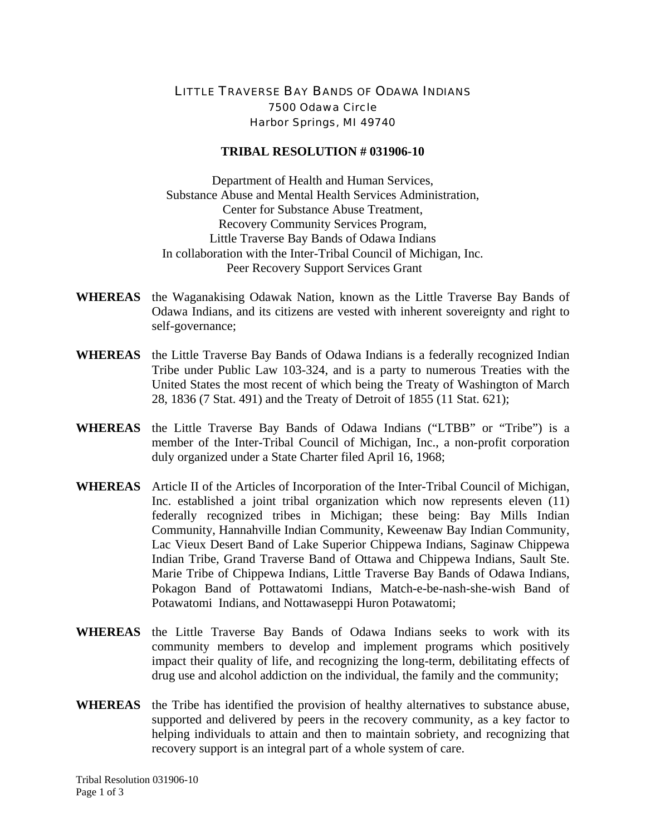## LITTLE TRAVERSE BAY BANDS OF ODAWA INDIANS 7500 Odawa Circle Harbor Springs, MI 49740

## **TRIBAL RESOLUTION # 031906-10**

Department of Health and Human Services, Substance Abuse and Mental Health Services Administration, Center for Substance Abuse Treatment, Recovery Community Services Program, Little Traverse Bay Bands of Odawa Indians In collaboration with the Inter-Tribal Council of Michigan, Inc. Peer Recovery Support Services Grant

- **WHEREAS** the Waganakising Odawak Nation, known as the Little Traverse Bay Bands of Odawa Indians, and its citizens are vested with inherent sovereignty and right to self-governance;
- **WHEREAS** the Little Traverse Bay Bands of Odawa Indians is a federally recognized Indian Tribe under Public Law 103-324, and is a party to numerous Treaties with the United States the most recent of which being the Treaty of Washington of March 28, 1836 (7 Stat. 491) and the Treaty of Detroit of 1855 (11 Stat. 621);
- **WHEREAS** the Little Traverse Bay Bands of Odawa Indians ("LTBB" or "Tribe") is a member of the Inter-Tribal Council of Michigan, Inc., a non-profit corporation duly organized under a State Charter filed April 16, 1968;
- **WHEREAS** Article II of the Articles of Incorporation of the Inter-Tribal Council of Michigan, Inc. established a joint tribal organization which now represents eleven (11) federally recognized tribes in Michigan; these being: Bay Mills Indian Community, Hannahville Indian Community, Keweenaw Bay Indian Community, Lac Vieux Desert Band of Lake Superior Chippewa Indians, Saginaw Chippewa Indian Tribe, Grand Traverse Band of Ottawa and Chippewa Indians, Sault Ste. Marie Tribe of Chippewa Indians, Little Traverse Bay Bands of Odawa Indians, Pokagon Band of Pottawatomi Indians, Match-e-be-nash-she-wish Band of Potawatomi Indians, and Nottawaseppi Huron Potawatomi;
- **WHEREAS** the Little Traverse Bay Bands of Odawa Indians seeks to work with its community members to develop and implement programs which positively impact their quality of life, and recognizing the long-term, debilitating effects of drug use and alcohol addiction on the individual, the family and the community;
- **WHEREAS** the Tribe has identified the provision of healthy alternatives to substance abuse, supported and delivered by peers in the recovery community, as a key factor to helping individuals to attain and then to maintain sobriety, and recognizing that recovery support is an integral part of a whole system of care.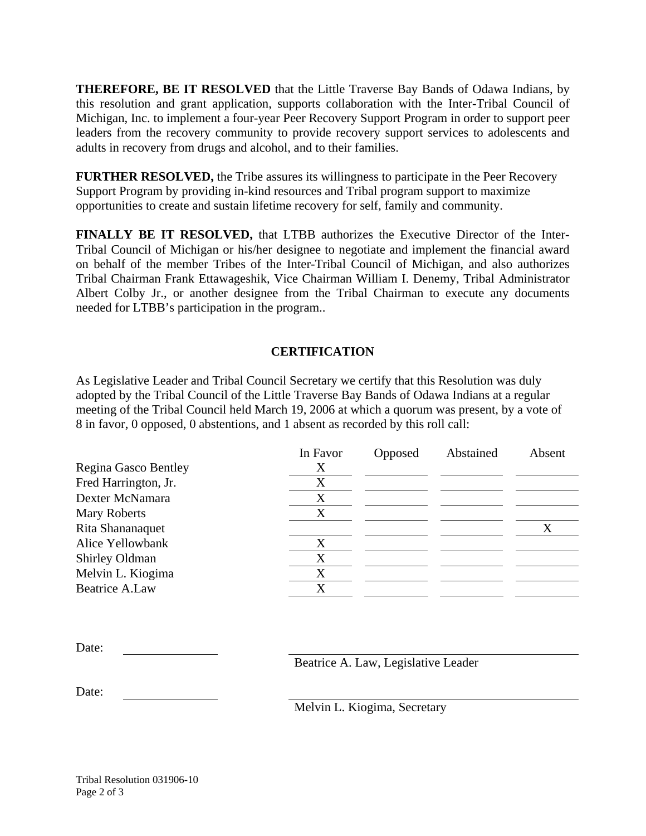**THEREFORE, BE IT RESOLVED** that the Little Traverse Bay Bands of Odawa Indians, by this resolution and grant application, supports collaboration with the Inter-Tribal Council of Michigan, Inc. to implement a four-year Peer Recovery Support Program in order to support peer leaders from the recovery community to provide recovery support services to adolescents and adults in recovery from drugs and alcohol, and to their families.

**FURTHER RESOLVED,** the Tribe assures its willingness to participate in the Peer Recovery Support Program by providing in-kind resources and Tribal program support to maximize opportunities to create and sustain lifetime recovery for self, family and community.

**FINALLY BE IT RESOLVED,** that LTBB authorizes the Executive Director of the Inter-Tribal Council of Michigan or his/her designee to negotiate and implement the financial award on behalf of the member Tribes of the Inter-Tribal Council of Michigan, and also authorizes Tribal Chairman Frank Ettawageshik, Vice Chairman William I. Denemy, Tribal Administrator Albert Colby Jr., or another designee from the Tribal Chairman to execute any documents needed for LTBB's participation in the program..

## **CERTIFICATION**

As Legislative Leader and Tribal Council Secretary we certify that this Resolution was duly adopted by the Tribal Council of the Little Traverse Bay Bands of Odawa Indians at a regular meeting of the Tribal Council held March 19, 2006 at which a quorum was present, by a vote of 8 in favor, 0 opposed, 0 abstentions, and 1 absent as recorded by this roll call:

|                      | In Favor | Opposed | Abstained | Absent |
|----------------------|----------|---------|-----------|--------|
| Regina Gasco Bentley | Х        |         |           |        |
| Fred Harrington, Jr. | X        |         |           |        |
| Dexter McNamara      | X        |         |           |        |
| <b>Mary Roberts</b>  | X        |         |           |        |
| Rita Shananaquet     |          |         |           |        |
| Alice Yellowbank     | X        |         |           |        |
| Shirley Oldman       | X        |         |           |        |
| Melvin L. Kiogima    | X        |         |           |        |
| Beatrice A.Law       | X        |         |           |        |

| Date: |  |
|-------|--|
|       |  |

Beatrice A. Law, Legislative Leader

Date:

Melvin L. Kiogima, Secretary